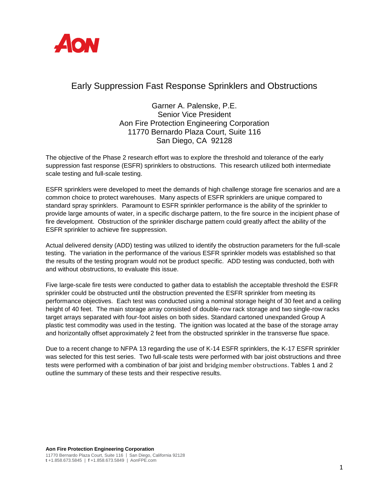

## Early Suppression Fast Response Sprinklers and Obstructions

Garner A. Palenske, P.E. Senior Vice President Aon Fire Protection Engineering Corporation 11770 Bernardo Plaza Court, Suite 116 San Diego, CA 92128

The objective of the Phase 2 research effort was to explore the threshold and tolerance of the early suppression fast response (ESFR) sprinklers to obstructions. This research utilized both intermediate scale testing and full-scale testing.

ESFR sprinklers were developed to meet the demands of high challenge storage fire scenarios and are a common choice to protect warehouses. Many aspects of ESFR sprinklers are unique compared to standard spray sprinklers. Paramount to ESFR sprinkler performance is the ability of the sprinkler to provide large amounts of water, in a specific discharge pattern, to the fire source in the incipient phase of fire development. Obstruction of the sprinkler discharge pattern could greatly affect the ability of the ESFR sprinkler to achieve fire suppression.

Actual delivered density (ADD) testing was utilized to identify the obstruction parameters for the full-scale testing. The variation in the performance of the various ESFR sprinkler models was established so that the results of the testing program would not be product specific. ADD testing was conducted, both with and without obstructions, to evaluate this issue.

Five large-scale fire tests were conducted to gather data to establish the acceptable threshold the ESFR sprinkler could be obstructed until the obstruction prevented the ESFR sprinkler from meeting its performance objectives. Each test was conducted using a nominal storage height of 30 feet and a ceiling height of 40 feet. The main storage array consisted of double-row rack storage and two single-row racks target arrays separated with four-foot aisles on both sides. Standard cartoned unexpanded Group A plastic test commodity was used in the testing. The ignition was located at the base of the storage array and horizontally offset approximately 2 feet from the obstructed sprinkler in the transverse flue space.

Due to a recent change to NFPA 13 regarding the use of K-14 ESFR sprinklers, the K-17 ESFR sprinkler was selected for this test series. Two full-scale tests were performed with bar joist obstructions and three tests were performed with a combination of bar joist and bridging member obstructions. Tables 1 and 2 outline the summary of these tests and their respective results.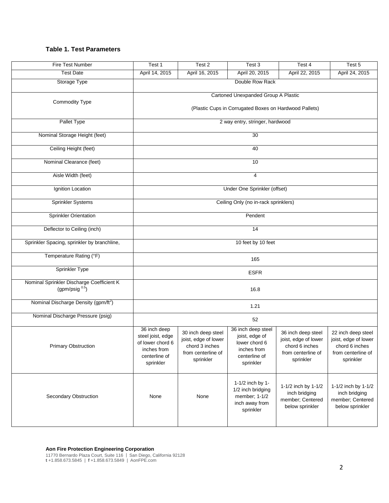## **Table 1. Test Parameters**

| Fire Test Number                                                  | Test 1                                                                                             | Test 2                                                                                          | Test 3                                                                                             | Test 4                                                                                          | Test 5                                                                                          |  |  |  |
|-------------------------------------------------------------------|----------------------------------------------------------------------------------------------------|-------------------------------------------------------------------------------------------------|----------------------------------------------------------------------------------------------------|-------------------------------------------------------------------------------------------------|-------------------------------------------------------------------------------------------------|--|--|--|
| <b>Test Date</b>                                                  | April 14, 2015                                                                                     | April 16, 2015                                                                                  | April 20, 2015                                                                                     | April 22, 2015                                                                                  | April 24, 2015                                                                                  |  |  |  |
| Storage Type                                                      | Double Row Rack                                                                                    |                                                                                                 |                                                                                                    |                                                                                                 |                                                                                                 |  |  |  |
| Commodity Type                                                    | Cartoned Unexpanded Group A Plastic<br>(Plastic Cups in Corrugated Boxes on Hardwood Pallets)      |                                                                                                 |                                                                                                    |                                                                                                 |                                                                                                 |  |  |  |
| Pallet Type                                                       | 2 way entry, stringer, hardwood                                                                    |                                                                                                 |                                                                                                    |                                                                                                 |                                                                                                 |  |  |  |
| Nominal Storage Height (feet)                                     | $\overline{30}$                                                                                    |                                                                                                 |                                                                                                    |                                                                                                 |                                                                                                 |  |  |  |
| Ceiling Height (feet)                                             | 40                                                                                                 |                                                                                                 |                                                                                                    |                                                                                                 |                                                                                                 |  |  |  |
| Nominal Clearance (feet)                                          | 10                                                                                                 |                                                                                                 |                                                                                                    |                                                                                                 |                                                                                                 |  |  |  |
| Aisle Width (feet)                                                | $\overline{4}$                                                                                     |                                                                                                 |                                                                                                    |                                                                                                 |                                                                                                 |  |  |  |
| Ignition Location                                                 | Under One Sprinkler (offset)                                                                       |                                                                                                 |                                                                                                    |                                                                                                 |                                                                                                 |  |  |  |
| <b>Sprinkler Systems</b>                                          | Ceiling Only (no in-rack sprinklers)                                                               |                                                                                                 |                                                                                                    |                                                                                                 |                                                                                                 |  |  |  |
| <b>Sprinkler Orientation</b>                                      | Pendent                                                                                            |                                                                                                 |                                                                                                    |                                                                                                 |                                                                                                 |  |  |  |
| Deflector to Ceiling (inch)                                       | 14                                                                                                 |                                                                                                 |                                                                                                    |                                                                                                 |                                                                                                 |  |  |  |
| Sprinkler Spacing, sprinkler by branchline,                       | 10 feet by 10 feet                                                                                 |                                                                                                 |                                                                                                    |                                                                                                 |                                                                                                 |  |  |  |
| Temperature Rating (°F)                                           | 165                                                                                                |                                                                                                 |                                                                                                    |                                                                                                 |                                                                                                 |  |  |  |
| Sprinkler Type                                                    | <b>ESFR</b>                                                                                        |                                                                                                 |                                                                                                    |                                                                                                 |                                                                                                 |  |  |  |
| Nominal Sprinkler Discharge Coefficient K<br>(gpm/psig $^{0.5}$ ) | 16.8                                                                                               |                                                                                                 |                                                                                                    |                                                                                                 |                                                                                                 |  |  |  |
| Nominal Discharge Density (gpm/ft <sup>2</sup> )                  | 1.21                                                                                               |                                                                                                 |                                                                                                    |                                                                                                 |                                                                                                 |  |  |  |
| Nominal Discharge Pressure (psig)                                 | 52                                                                                                 |                                                                                                 |                                                                                                    |                                                                                                 |                                                                                                 |  |  |  |
| <b>Primary Obstruction</b>                                        | 36 inch deep<br>steel joist, edge<br>of lower chord 6<br>inches from<br>centerline of<br>sprinkler | 30 inch deep steel<br>joist, edge of lower<br>chord 3 inches<br>from centerline of<br>sprinkler | 36 inch deep steel<br>joist, edge of<br>lower chord 6<br>inches from<br>centerline of<br>sprinkler | 36 inch deep steel<br>joist, edge of lower<br>chord 6 inches<br>from centerline of<br>sprinkler | 22 inch deep steel<br>joist, edge of lower<br>chord 6 inches<br>from centerline of<br>sprinkler |  |  |  |
| Secondary Obstruction                                             | None                                                                                               | None                                                                                            | 1-1/2 inch by 1-<br>1/2 inch bridging<br>member; 1-1/2<br>inch away from<br>sprinkler              | 1-1/2 inch by 1-1/2<br>inch bridging<br>member; Centered<br>below sprinkler                     | 1-1/2 inch by 1-1/2<br>inch bridging<br>member; Centered<br>below sprinkler                     |  |  |  |

11770 Bernardo Plaza Court, Suite 116 | San Diego, California 92128 **t** +1.858.673.5845 | **f** +1.858.673.5849 | AonFPE.com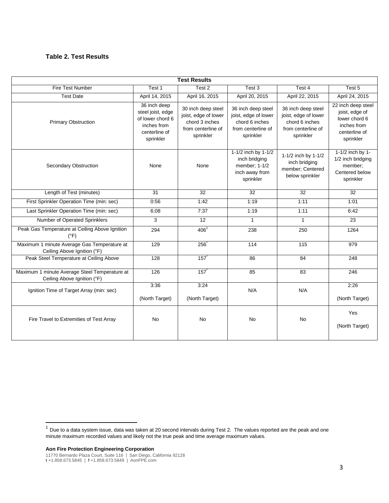## **Table 2. Test Results**

| <b>Test Results</b>                                                          |                                                                                                    |                                                                                                 |                                                                                                 |                                                                                                 |                                                                                                    |  |  |  |  |
|------------------------------------------------------------------------------|----------------------------------------------------------------------------------------------------|-------------------------------------------------------------------------------------------------|-------------------------------------------------------------------------------------------------|-------------------------------------------------------------------------------------------------|----------------------------------------------------------------------------------------------------|--|--|--|--|
| Fire Test Number                                                             | Test 1                                                                                             | Test 2                                                                                          | Test 3                                                                                          | Test 4                                                                                          | Test 5                                                                                             |  |  |  |  |
| <b>Test Date</b>                                                             | April 14, 2015                                                                                     | April 16, 2015                                                                                  | April 20, 2015                                                                                  | April 22, 2015                                                                                  | April 24, 2015                                                                                     |  |  |  |  |
| <b>Primary Obstruction</b>                                                   | 36 inch deep<br>steel joist, edge<br>of lower chord 6<br>inches from<br>centerline of<br>sprinkler | 30 inch deep steel<br>joist, edge of lower<br>chord 3 inches<br>from centerline of<br>sprinkler | 36 inch deep steel<br>joist, edge of lower<br>chord 6 inches<br>from centerline of<br>sprinkler | 36 inch deep steel<br>joist, edge of lower<br>chord 6 inches<br>from centerline of<br>sprinkler | 22 inch deep steel<br>joist, edge of<br>lower chord 6<br>inches from<br>centerline of<br>sprinkler |  |  |  |  |
| Secondary Obstruction                                                        | None                                                                                               | None                                                                                            | 1-1/2 inch by 1-1/2<br>inch bridging<br>member; 1-1/2<br>inch away from<br>sprinkler            | 1-1/2 inch by 1-1/2<br>inch bridging<br>member; Centered<br>below sprinkler                     | 1-1/2 inch by 1-<br>1/2 inch bridging<br>member;<br>Centered below<br>sprinkler                    |  |  |  |  |
| Length of Test (minutes)                                                     | $\overline{31}$                                                                                    | $\overline{32}$                                                                                 | $\overline{32}$                                                                                 | 32                                                                                              | $\overline{32}$                                                                                    |  |  |  |  |
| First Sprinkler Operation Time (min: sec)                                    | 0:56                                                                                               | 1:42                                                                                            | 1:19                                                                                            | 1:11                                                                                            | 1:01                                                                                               |  |  |  |  |
| Last Sprinkler Operation Time (min: sec)                                     | 6:08                                                                                               | 7:37                                                                                            | 1:19                                                                                            | 1:11                                                                                            | 6:42                                                                                               |  |  |  |  |
| Number of Operated Sprinklers                                                | 3                                                                                                  | 12                                                                                              | $\mathbf{1}$                                                                                    | $\mathbf{1}$                                                                                    | 23                                                                                                 |  |  |  |  |
| Peak Gas Temperature at Ceiling Above Ignition<br>$(^{\circ}F)$              | 294                                                                                                | 406 <sup>1</sup>                                                                                | 238                                                                                             | 250                                                                                             | 1264                                                                                               |  |  |  |  |
| Maximum 1 minute Average Gas Temperature at<br>Ceiling Above Ignition (°F)   | 129                                                                                                | 256                                                                                             | 114                                                                                             | $\frac{115}{115}$                                                                               | 979                                                                                                |  |  |  |  |
| Peak Steel Temperature at Ceiling Above                                      | 128                                                                                                | 157                                                                                             | 86                                                                                              | 84                                                                                              | 248                                                                                                |  |  |  |  |
| Maximum 1 minute Average Steel Temperature at<br>Ceiling Above Ignition (°F) | 126                                                                                                | 157                                                                                             | 85                                                                                              | 83                                                                                              | 246                                                                                                |  |  |  |  |
| Ignition Time of Target Array (min: sec)                                     | 3:36<br>(North Target)                                                                             | 3:24<br>(North Target)                                                                          | N/A                                                                                             | N/A                                                                                             | 2:26<br>(North Target)                                                                             |  |  |  |  |
| Fire Travel to Extremities of Test Array                                     | <b>No</b>                                                                                          | <b>No</b>                                                                                       | <b>No</b>                                                                                       | <b>No</b>                                                                                       | Yes<br>(North Target)                                                                              |  |  |  |  |

**Aon Fire Protection Engineering Corporation**

11770 Bernardo Plaza Court, Suite 116 | San Diego, California 92128 **t** +1.858.673.5845 | **f** +1.858.673.5849 | AonFPE.com

<sup>&</sup>lt;u>ness</u><br><sup>1</sup> Due to a data system issue, data was taken at 20 second intervals during Test 2. The values reported are the peak and one minute maximum recorded values and likely not the true peak and time average maximum values.